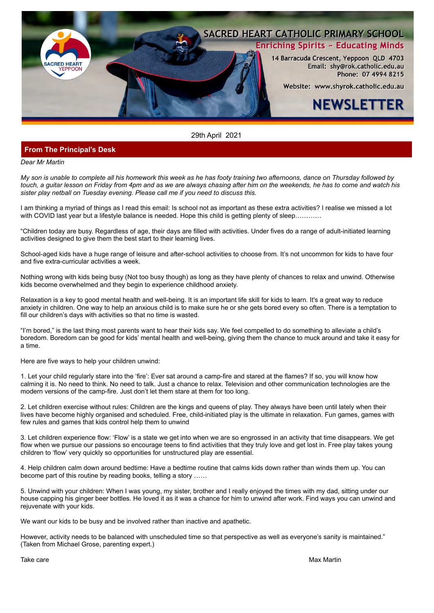

#### 29th April 2021

#### **From The Principal's Desk**

*Dear Mr Martin*

*My son is unable to complete all his homework this week as he has footy training two afternoons, dance on Thursday followed by touch, a guitar lesson on Friday from 4pm and as we are always chasing after him on the weekends, he has to come and watch his sister play netball on Tuesday evening. Please call me if you need to discuss this.*

I am thinking a myriad of things as I read this email: Is school not as important as these extra activities? I realise we missed a lot with COVID last year but a lifestyle balance is needed. Hope this child is getting plenty of sleep…………

"Children today are busy. Regardless of age, their days are filled with activities. Under fives do a range of adult-initiated learning activities designed to give them the best start to their learning lives.

School-aged kids have a huge range of leisure and after-school activities to choose from. It's not uncommon for kids to have four and five extra-curricular activities a week.

Nothing wrong with kids being busy (Not too busy though) as long as they have plenty of chances to relax and unwind. Otherwise kids become overwhelmed and they begin to experience childhood anxiety.

Relaxation is a key to good mental health and well-being. It is an important life skill for kids to learn. It's a great way to reduce anxiety in children. One way to help an anxious child is to make sure he or she gets bored every so often. There is a temptation to fill our children's days with activities so that no time is wasted.

"I'm bored," is the last thing most parents want to hear their kids say. We feel compelled to do something to alleviate a child's boredom. Boredom can be good for kids' mental health and well-being, giving them the chance to muck around and take it easy for a time.

Here are five ways to help your children unwind:

1. Let your child regularly stare into the 'fire': Ever sat around a camp-fire and stared at the flames? If so, you will know how calming it is. No need to think. No need to talk. Just a chance to relax. Television and other communication technologies are the modern versions of the camp-fire. Just don't let them stare at them for too long.

2. Let children exercise without rules: Children are the kings and queens of play. They always have been until lately when their lives have become highly organised and scheduled. Free, child-initiated play is the ultimate in relaxation. Fun games, games with few rules and games that kids control help them to unwind

3. Let children experience flow: 'Flow' is a state we get into when we are so engrossed in an activity that time disappears. We get flow when we pursue our passions so encourage teens to find activities that they truly love and get lost in. Free play takes young children to 'flow' very quickly so opportunities for unstructured play are essential.

4. Help children calm down around bedtime: Have a bedtime routine that calms kids down rather than winds them up. You can become part of this routine by reading books, telling a story ……

5. Unwind with your children: When I was young, my sister, brother and I really enjoyed the times with my dad, sitting under our house capping his ginger beer bottles. He loved it as it was a chance for him to unwind after work. Find ways you can unwind and rejuvenate with your kids.

We want our kids to be busy and be involved rather than inactive and apathetic.

However, activity needs to be balanced with unscheduled time so that perspective as well as everyone's sanity is maintained." (Taken from Michael Grose, parenting expert.)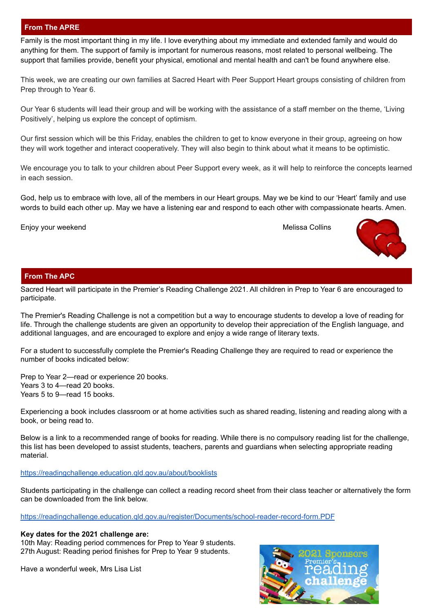# **From The APRE**

Family is the most important thing in my life. I love everything about my immediate and extended family and would do anything for them. The support of family is important for numerous reasons, most related to personal wellbeing. The support that families provide, benefit your physical, emotional and mental health and can't be found anywhere else.

This week, we are creating our own families at Sacred Heart with Peer Support Heart groups consisting of children from Prep through to Year 6.

Our Year 6 students will lead their group and will be working with the assistance of a staff member on the theme, 'Living Positively', helping us explore the concept of optimism.

Our first session which will be this Friday, enables the children to get to know everyone in their group, agreeing on how they will work together and interact cooperatively. They will also begin to think about what it means to be optimistic.

We encourage you to talk to your children about Peer Support every week, as it will help to reinforce the concepts learned in each session.

God, help us to embrace with love, all of the members in our Heart groups. May we be kind to our 'Heart' family and use words to build each other up. May we have a listening ear and respond to each other with compassionate hearts. Amen.

Enjoy your weekend Melissa Collins



# **From The APC**

Sacred Heart will participate in the Premier's Reading Challenge 2021. All children in Prep to Year 6 are encouraged to participate.

The Premier's Reading Challenge is not a competition but a way to encourage students to develop a love of reading for life. Through the challenge students are given an opportunity to develop their appreciation of the English language, and additional languages, and are encouraged to explore and enjoy a wide range of literary texts.

For a student to successfully complete the Premier's Reading Challenge they are required to read or experience the number of books indicated below:

Prep to Year 2—read or experience 20 books. Years 3 to 4—read 20 books. Years 5 to 9—read 15 books.

Experiencing a book includes classroom or at home activities such as shared reading, listening and reading along with a book, or being read to.

Below is a link to a recommended range of books for reading. While there is no compulsory reading list for the challenge, this list has been developed to assist students, teachers, parents and guardians when selecting appropriate reading material.

#### <https://readingchallenge.education.qld.gov.au/about/booklists>

Students participating in the challenge can collect a reading record sheet from their class teacher or alternatively the form can be downloaded from the link below.

<https://readingchallenge.education.qld.gov.au/register/Documents/school-reader-record-form.PDF>

#### **Key dates for the 2021 challenge are:**

10th May: Reading period commences for Prep to Year 9 students. 27th August: Reading period finishes for Prep to Year 9 students.

Have a wonderful week, Mrs Lisa List

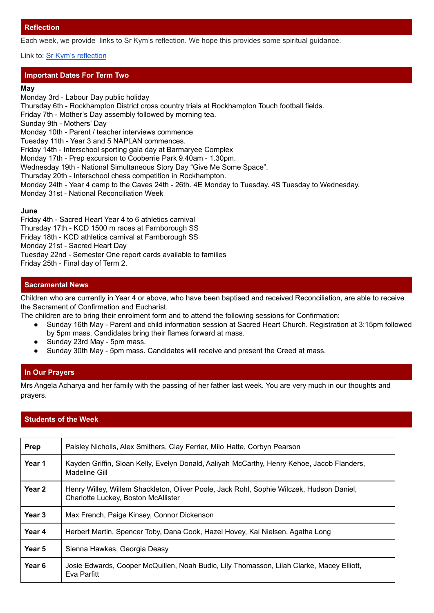Each week, we provide links to Sr Kym's reflection. We hope this provides some spiritual guidance.

## Link to: [Sr Kym's reflection](https://drive.google.com/file/d/1LrcBPHmiH06YnGVu6jrEKUt31O8N0_jG/view?usp=sharing)

# **Important Dates For Term Two**

#### **May**

Monday 3rd - Labour Day public holiday Thursday 6th - Rockhampton District cross country trials at Rockhampton Touch football fields. Friday 7th - Mother's Day assembly followed by morning tea. Sunday 9th - Mothers' Day Monday 10th - Parent / teacher interviews commence Tuesday 11th - Year 3 and 5 NAPLAN commences. Friday 14th - Interschool sporting gala day at Barmaryee Complex Monday 17th - Prep excursion to Cooberrie Park 9.40am - 1.30pm. Wednesday 19th - National Simultaneous Story Day "Give Me Some Space". Thursday 20th - Interschool chess competition in Rockhampton. Monday 24th - Year 4 camp to the Caves 24th - 26th. 4E Monday to Tuesday. 4S Tuesday to Wednesday. Monday 31st - National Reconciliation Week

## **June**

Friday 4th - Sacred Heart Year 4 to 6 athletics carnival Thursday 17th - KCD 1500 m races at Farnborough SS Friday 18th - KCD athletics carnival at Farnborough SS Monday 21st - Sacred Heart Day Tuesday 22nd - Semester One report cards available to families Friday 25th - Final day of Term 2.

# **Sacramental News**

Children who are currently in Year 4 or above, who have been baptised and received Reconciliation, are able to receive the Sacrament of Confirmation and Eucharist.

The children are to bring their enrolment form and to attend the following sessions for Confirmation:

- Sunday 16th May Parent and child information session at Sacred Heart Church. Registration at 3:15pm followed by 5pm mass. Candidates bring their flames forward at mass.
- Sunday 23rd May 5pm mass.
- Sunday 30th May 5pm mass. Candidates will receive and present the Creed at mass.

## **In Our Prayers**

Mrs Angela Acharya and her family with the passing of her father last week. You are very much in our thoughts and prayers.

# **Students of the Week**

| <b>Prep</b>       | Paisley Nicholls, Alex Smithers, Clay Ferrier, Milo Hatte, Corbyn Pearson                                                       |
|-------------------|---------------------------------------------------------------------------------------------------------------------------------|
| Year 1            | Kayden Griffin, Sloan Kelly, Evelyn Donald, Aaliyah McCarthy, Henry Kehoe, Jacob Flanders,<br>Madeline Gill                     |
| Year <sub>2</sub> | Henry Willey, Willem Shackleton, Oliver Poole, Jack Rohl, Sophie Wilczek, Hudson Daniel,<br>Charlotte Luckey, Boston McAllister |
| Year <sub>3</sub> | Max French, Paige Kinsey, Connor Dickenson                                                                                      |
| Year 4            | Herbert Martin, Spencer Toby, Dana Cook, Hazel Hovey, Kai Nielsen, Agatha Long                                                  |
| Year 5            | Sienna Hawkes, Georgia Deasy                                                                                                    |
| Year <sub>6</sub> | Josie Edwards, Cooper McQuillen, Noah Budic, Lily Thomasson, Lilah Clarke, Macey Elliott,<br>Eva Parfitt                        |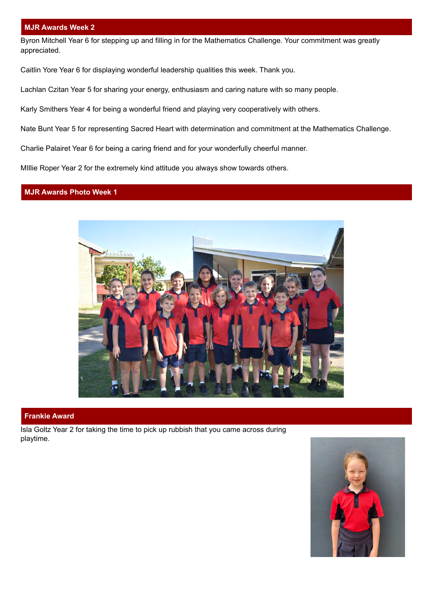#### **MJR Awards Week 2**

Byron Mitchell Year 6 for stepping up and filling in for the Mathematics Challenge. Your commitment was greatly appreciated.

Caitlin Yore Year 6 for displaying wonderful leadership qualities this week. Thank you.

Lachlan Czitan Year 5 for sharing your energy, enthusiasm and caring nature with so many people.

Karly Smithers Year 4 for being a wonderful friend and playing very cooperatively with others.

Nate Bunt Year 5 for representing Sacred Heart with determination and commitment at the Mathematics Challenge.

Charlie Palairet Year 6 for being a caring friend and for your wonderfully cheerful manner.

MIllie Roper Year 2 for the extremely kind attitude you always show towards others.

# **MJR Awards Photo Week 1**



#### **Frankie Award**

Isla Goltz Year 2 for taking the time to pick up rubbish that you came across during playtime.

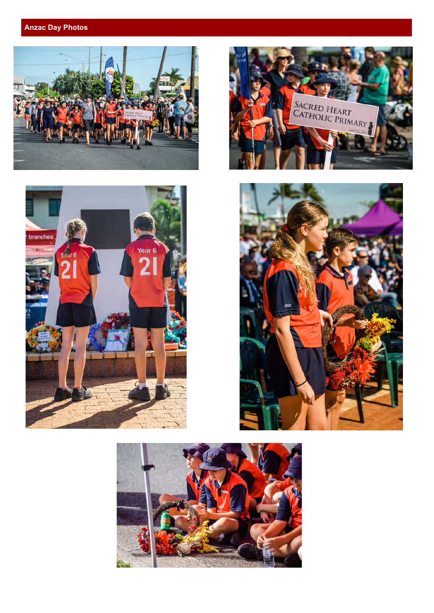# **Anzac Day Photos**









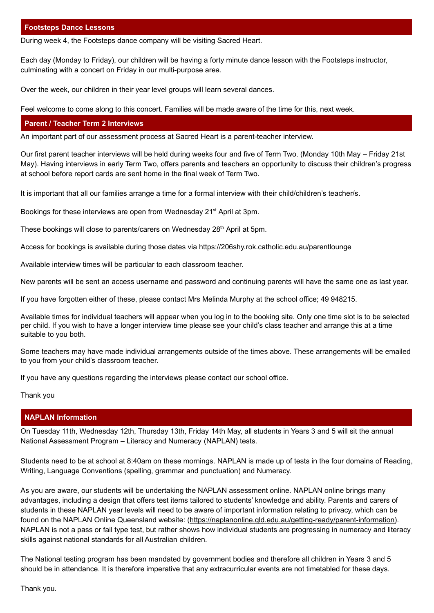## **Footsteps Dance Lessons**

During week 4, the Footsteps dance company will be visiting Sacred Heart.

Each day (Monday to Friday), our children will be having a forty minute dance lesson with the Footsteps instructor, culminating with a concert on Friday in our multi-purpose area.

Over the week, our children in their year level groups will learn several dances.

Feel welcome to come along to this concert. Families will be made aware of the time for this, next week.

#### **Parent / Teacher Term 2 Interviews**

An important part of our assessment process at Sacred Heart is a parent-teacher interview.

Our first parent teacher interviews will be held during weeks four and five of Term Two. (Monday 10th May – Friday 21st May). Having interviews in early Term Two, offers parents and teachers an opportunity to discuss their children's progress at school before report cards are sent home in the final week of Term Two.

It is important that all our families arrange a time for a formal interview with their child/children's teacher/s.

Bookings for these interviews are open from Wednesday 21<sup>st</sup> April at 3pm.

[These bookings will close to parents/carers on Wednesday 28](https://206shy.rok.catholic.edu.au/parentlounge)<sup>th</sup> April at 5pm.

[Access for bookings is available during those dates via https://206shy.rok.catholic.edu.au/parentlounge](https://206shy.rok.catholic.edu.au/parentlounge)

Available interview times will be particular to each classroom teacher.

New parents will be sent an access username and password and continuing parents will have the same one as last year.

If you have forgotten either of these, please contact Mrs Melinda Murphy at the school office; 49 948215.

Available times for individual teachers will appear when you log in to the booking site. Only one time slot is to be selected per child. If you wish to have a longer interview time please see your child's class teacher and arrange this at a time suitable to you both.

Some teachers may have made individual arrangements outside of the times above. These arrangements will be emailed to you from your child's classroom teacher.

If you have any questions regarding the interviews please contact our school office.

Thank you

#### **NAPLAN Information**

On Tuesday 11th, Wednesday 12th, Thursday 13th, Friday 14th May, all students in Years 3 and 5 will sit the annual National Assessment Program – Literacy and Numeracy (NAPLAN) tests.

Students need to be at school at 8:40am on these mornings. NAPLAN is made up of tests in the four domains of Reading, Writing, Language Conventions (spelling, grammar and punctuation) and Numeracy.

As you are aware, our students will be undertaking the NAPLAN assessment online. NAPLAN online brings many advantages, including a design that offers test items tailored to students' knowledge and ability. Parents and carers of students in these NAPLAN year levels will need to be aware of important information relating to privacy, which can be found on the NAPLAN Online Queensland website: ([https://naplanonline.qld.edu.au/getting-ready/parent-information\)](https://naplanonline.qld.edu.au/getting-ready/parent-information). NAPLAN is not a pass or fail type test, but rather shows how individual students are progressing in numeracy and literacy skills against national standards for all Australian children.

The National testing program has been mandated by government bodies and therefore all children in Years 3 and 5 should be in attendance. It is therefore imperative that any extracurricular events are not timetabled for these days.

Thank you.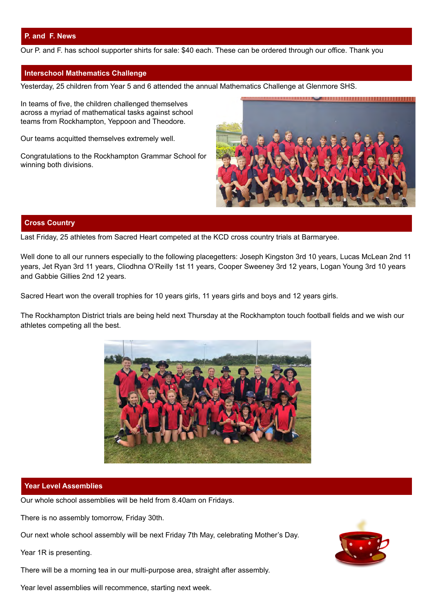# **P. and F. News**

Our P. and F. has school supporter shirts for sale: \$40 each. These can be ordered through our office. Thank you

#### **Interschool Mathematics Challenge**

Yesterday, 25 children from Year 5 and 6 attended the annual Mathematics Challenge at Glenmore SHS.

In teams of five, the children challenged themselves across a myriad of mathematical tasks against school teams from Rockhampton, Yeppoon and Theodore.

Our teams acquitted themselves extremely well.

Congratulations to the Rockhampton Grammar School for winning both divisions.



#### **Cross Country**

Last Friday, 25 athletes from Sacred Heart competed at the KCD cross country trials at Barmaryee.

Well done to all our runners especially to the following placegetters: Joseph Kingston 3rd 10 years, Lucas McLean 2nd 11 years, Jet Ryan 3rd 11 years, Cliodhna O'Reilly 1st 11 years, Cooper Sweeney 3rd 12 years, Logan Young 3rd 10 years and Gabbie Gillies 2nd 12 years.

Sacred Heart won the overall trophies for 10 years girls, 11 years girls and boys and 12 years girls.

The Rockhampton District trials are being held next Thursday at the Rockhampton touch football fields and we wish our athletes competing all the best.



#### **Year Level Assemblies**

Our whole school assemblies will be held from 8.40am on Fridays.

There is no assembly tomorrow, Friday 30th.

Our next whole school assembly will be next Friday 7th May, celebrating Mother's Day.

Year 1R is presenting.

There will be a morning tea in our multi-purpose area, straight after assembly.

Year level assemblies will recommence, starting next week.

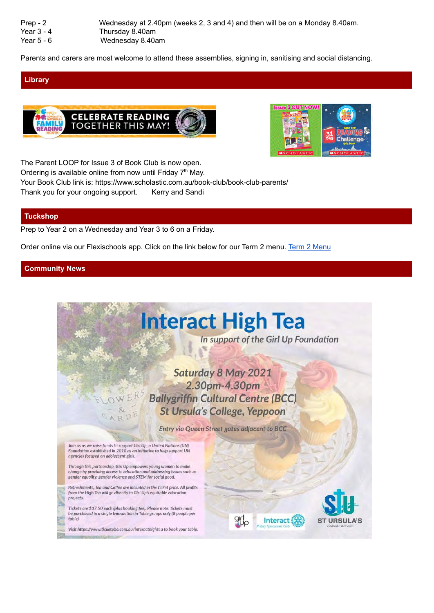| $Prep - 2$   | Wednesday at 2.40pm (weeks 2, 3 and 4) and then will be on a Monday 8.40am. |
|--------------|-----------------------------------------------------------------------------|
| Year $3 - 4$ | Thursday 8.40am                                                             |
| Year $5 - 6$ | Wednesday 8.40am                                                            |

Parents and carers are most welcome to attend these assemblies, signing in, sanitising and social distancing.

# **Library**





The Parent LOOP for Issue 3 of Book Club is now open. Ordering is available online from now until Friday  $7<sup>th</sup>$  May. Your Book Club link is: https://www.scholastic.com.au/book-club/book-club-parents/ Thank you for your ongoing support. Kerry and Sandi

## **Tuckshop**

Prep to Year 2 on a Wednesday and Year 3 to 6 on a Friday.

Order online via our Flexischools app. Click on the link below for our Term 2 menu. [Term 2 Menu](https://drive.google.com/file/d/1nmvhP-xbOiPdZMOy-OeYOmGb9_--uK83/view?usp=sharing)

# **Community News**